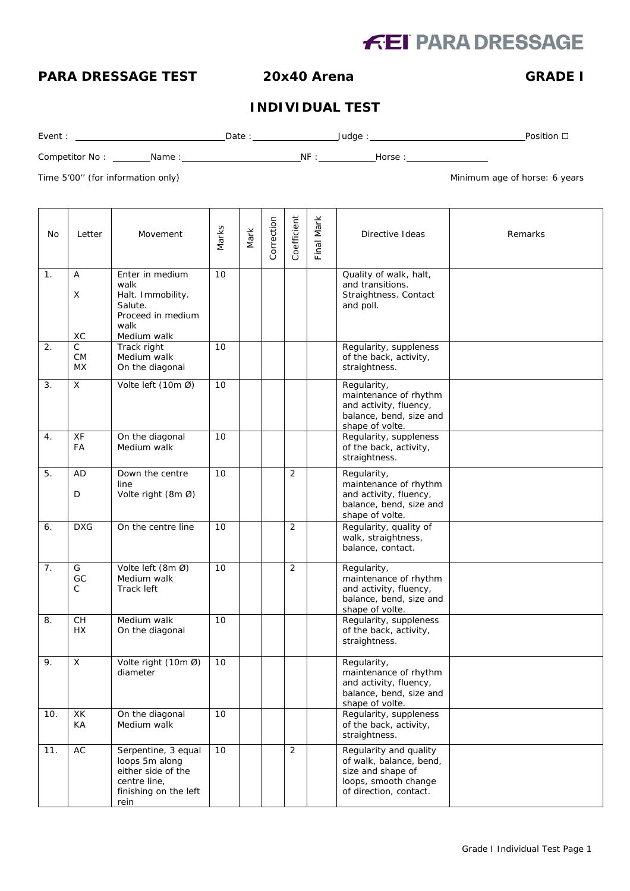# **FEI PARA DRESSAGE**

# **PARA DRESSAGE TEST 20x40 Arena GRADE I**

### **INDIVIDUAL TEST**

Event : Date : Judge : Position ☐

Competitor No : Name : NF : Horse :

Time 5'00" (for information only) and the state of the state of the state of the state of horse: 6 years of the state of the state of the state of the state of the state of the state of the state of the state of the state

| No  | Letter               | Movement                                                                                                     | Marks | Mark | Correction | Coefficient    | Final Mark | Directive Ideas                                                                                                          | Remarks |
|-----|----------------------|--------------------------------------------------------------------------------------------------------------|-------|------|------------|----------------|------------|--------------------------------------------------------------------------------------------------------------------------|---------|
| 1.  | Α<br>Χ<br>ХC         | Enter in medium<br>walk<br>Halt. Immobility.<br>Salute.<br>Proceed in medium<br>walk<br>Medium walk          | 10    |      |            |                |            | Quality of walk, halt,<br>and transitions.<br>Straightness. Contact<br>and poll.                                         |         |
| 2.  | C<br><b>CM</b><br>МX | Track right<br>Medium walk<br>On the diagonal                                                                | 10    |      |            |                |            | Regularity, suppleness<br>of the back, activity,<br>straightness.                                                        |         |
| 3.  | X                    | Volte left (10m Ø)                                                                                           | 10    |      |            |                |            | Regularity,<br>maintenance of rhythm<br>and activity, fluency,<br>balance, bend, size and<br>shape of volte.             |         |
| 4.  | XF<br>FA             | On the diagonal<br>Medium walk                                                                               | 10    |      |            |                |            | Regularity, suppleness<br>of the back, activity,<br>straightness.                                                        |         |
| 5.  | AD<br>D              | Down the centre<br>line<br>Volte right (8m Ø)                                                                | 10    |      |            | 2              |            | Regularity,<br>maintenance of rhythm<br>and activity, fluency,<br>balance, bend, size and<br>shape of volte.             |         |
| 6.  | <b>DXG</b>           | On the centre line                                                                                           | 10    |      |            | 2              |            | Regularity, quality of<br>walk, straightness,<br>balance, contact.                                                       |         |
| 7.  | G<br>GC<br>C         | Volte left (8m Ø)<br>Medium walk<br>Track left                                                               | 10    |      |            | 2              |            | Regularity,<br>maintenance of rhythm<br>and activity, fluency,<br>balance, bend, size and<br>shape of volte.             |         |
| 8.  | CH<br><b>HX</b>      | Medium walk<br>On the diagonal                                                                               | 10    |      |            |                |            | Regularity, suppleness<br>of the back, activity,<br>straightness.                                                        |         |
| 9.  | X                    | Volte right (10m Ø)<br>diameter                                                                              | 10    |      |            |                |            | Regularity,<br>maintenance of rhythm<br>and activity, fluency,<br>balance, bend, size and<br>shape of volte.             |         |
| 10. | XK<br>КA             | On the diagonal<br>Medium walk                                                                               | 10    |      |            |                |            | Regularity, suppleness<br>of the back, activity,<br>straightness.                                                        |         |
| 11. | $\mathsf{AC}$        | Serpentine, 3 equal<br>loops 5m along<br>either side of the<br>centre line,<br>finishing on the left<br>rein | 10    |      |            | $\overline{2}$ |            | Regularity and quality<br>of walk, balance, bend,<br>size and shape of<br>loops, smooth change<br>of direction, contact. |         |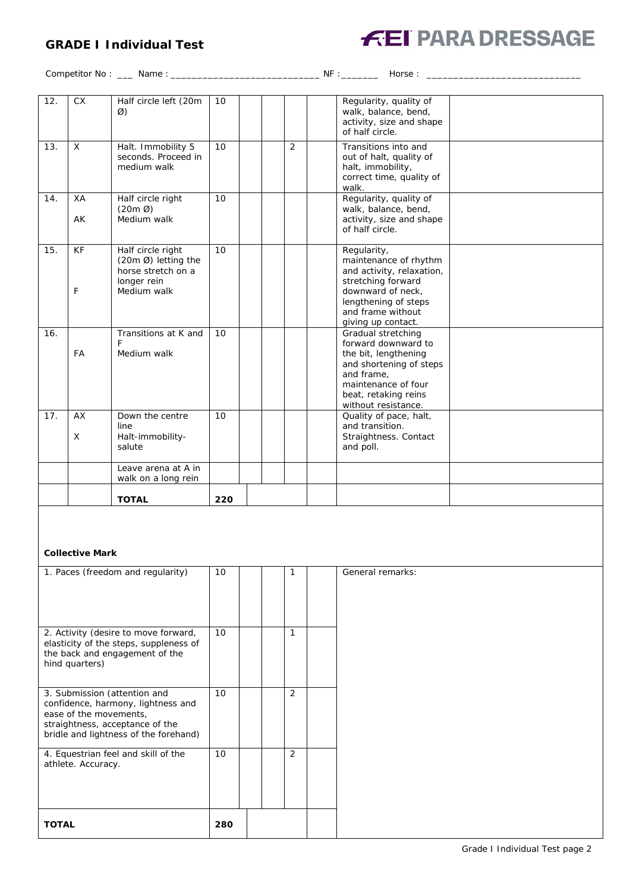## **GRADE I Individual Test**



Competitor No : \_\_\_ Name : \_\_\_\_\_\_\_\_\_\_\_\_\_\_\_\_\_\_\_\_\_\_\_\_\_\_\_\_ NF :\_\_\_\_\_\_\_ Horse : \_\_\_\_\_\_\_\_\_\_\_\_\_\_\_\_\_\_\_\_\_\_\_\_\_\_\_\_\_

| 12. | <b>CX</b>      | Half circle left (20m<br>Ø)                                                                  | 10  |                | Regularity, quality of<br>walk, balance, bend,<br>activity, size and shape<br>of half circle.                                                                                    |  |
|-----|----------------|----------------------------------------------------------------------------------------------|-----|----------------|----------------------------------------------------------------------------------------------------------------------------------------------------------------------------------|--|
| 13. | $\mathsf{X}$   | Halt. Immobility 5<br>seconds. Proceed in<br>medium walk                                     | 10  | $\overline{2}$ | Transitions into and<br>out of halt, quality of<br>halt, immobility,<br>correct time, quality of<br>walk.                                                                        |  |
| 14. | XA<br>AK       | Half circle right<br>$(20m \varnothing)$<br>Medium walk                                      | 10  |                | Regularity, quality of<br>walk, balance, bend,<br>activity, size and shape<br>of half circle.                                                                                    |  |
| 15. | <b>KF</b><br>F | Half circle right<br>(20m Ø) letting the<br>horse stretch on a<br>longer rein<br>Medium walk | 10  |                | Regularity,<br>maintenance of rhythm<br>and activity, relaxation,<br>stretching forward<br>downward of neck.<br>lengthening of steps<br>and frame without<br>giving up contact.  |  |
| 16. | <b>FA</b>      | Transitions at K and<br>F<br>Medium walk                                                     | 10  |                | Gradual stretching<br>forward downward to<br>the bit, lengthening<br>and shortening of steps<br>and frame.<br>maintenance of four<br>beat, retaking reins<br>without resistance. |  |
| 17. | AX<br>X        | Down the centre<br>line<br>Halt-immobility-<br>salute                                        | 10  |                | Quality of pace, halt,<br>and transition.<br>Straightness. Contact<br>and poll.                                                                                                  |  |
|     |                | Leave arena at A in<br>walk on a long rein                                                   |     |                |                                                                                                                                                                                  |  |
|     |                | <b>TOTAL</b>                                                                                 | 220 |                |                                                                                                                                                                                  |  |

### **Collective Mark**

| 1. Paces (freedom and regularity)                                                                                                                                        | 10  |  |                | General remarks: |
|--------------------------------------------------------------------------------------------------------------------------------------------------------------------------|-----|--|----------------|------------------|
| 2. Activity (desire to move forward,<br>elasticity of the steps, suppleness of<br>the back and engagement of the<br>hind quarters)                                       | 10  |  |                |                  |
| 3. Submission (attention and<br>confidence, harmony, lightness and<br>ease of the movements,<br>straightness, acceptance of the<br>bridle and lightness of the forehand) | 10  |  | $\overline{2}$ |                  |
| 4. Equestrian feel and skill of the<br>athlete. Accuracy.                                                                                                                | 10  |  | $\overline{2}$ |                  |
| <b>TOTAL</b>                                                                                                                                                             | 280 |  |                |                  |